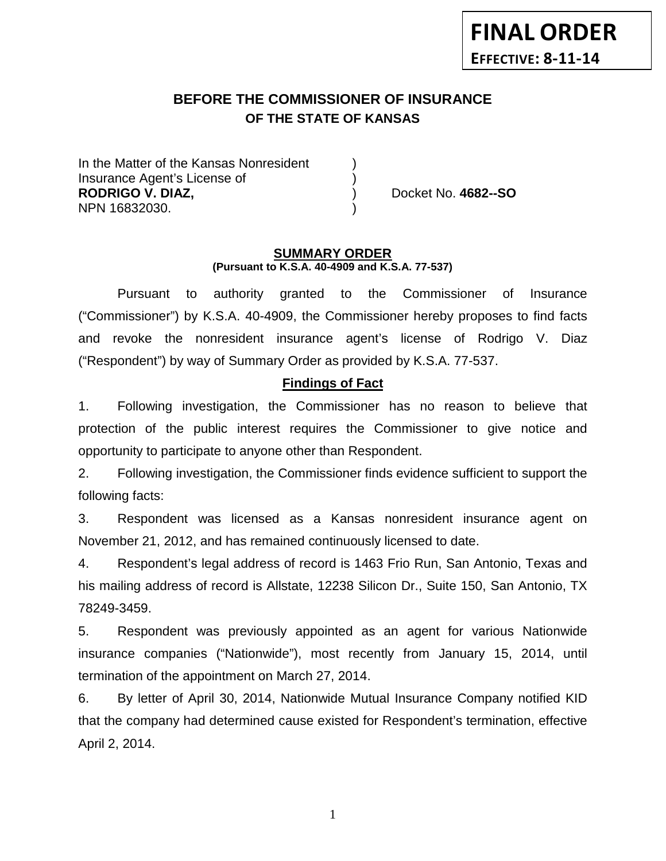# **BEFORE THE COMMISSIONER OF INSURANCE OF THE STATE OF KANSAS**

In the Matter of the Kansas Nonresident Insurance Agent's License of ) **RODRIGO V. DIAZ,** ) Docket No. **4682--SO** NPN 16832030. )

#### **SUMMARY ORDER (Pursuant to K.S.A. 40-4909 and K.S.A. 77-537)**

Pursuant to authority granted to the Commissioner of Insurance ("Commissioner") by K.S.A. 40-4909, the Commissioner hereby proposes to find facts and revoke the nonresident insurance agent's license of Rodrigo V. Diaz ("Respondent") by way of Summary Order as provided by K.S.A. 77-537.

# **Findings of Fact**

1. Following investigation, the Commissioner has no reason to believe that protection of the public interest requires the Commissioner to give notice and opportunity to participate to anyone other than Respondent.

2. Following investigation, the Commissioner finds evidence sufficient to support the following facts:

3. Respondent was licensed as a Kansas nonresident insurance agent on November 21, 2012, and has remained continuously licensed to date.

4. Respondent's legal address of record is 1463 Frio Run, San Antonio, Texas and his mailing address of record is Allstate, 12238 Silicon Dr., Suite 150, San Antonio, TX 78249-3459.

5. Respondent was previously appointed as an agent for various Nationwide insurance companies ("Nationwide"), most recently from January 15, 2014, until termination of the appointment on March 27, 2014.

6. By letter of April 30, 2014, Nationwide Mutual Insurance Company notified KID that the company had determined cause existed for Respondent's termination, effective April 2, 2014.

1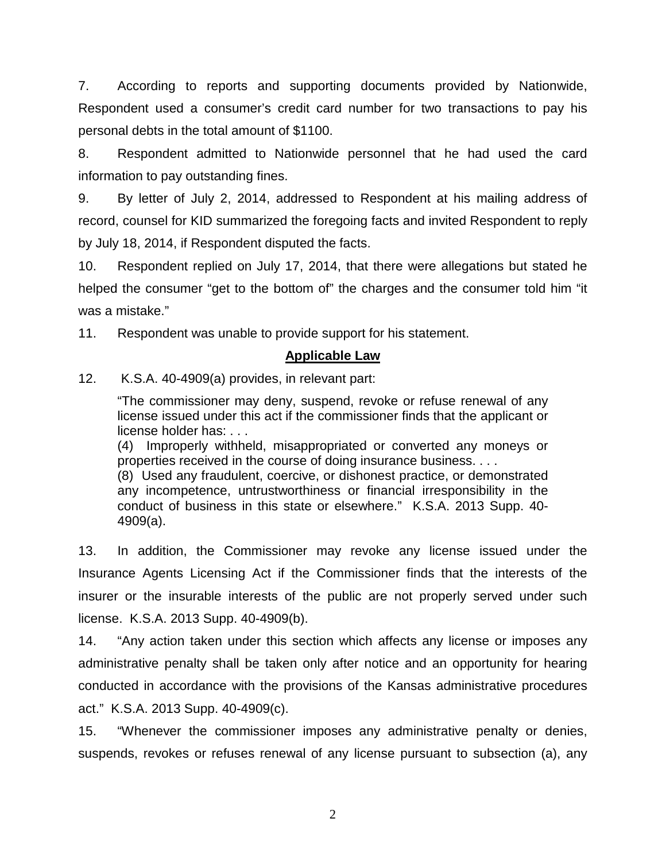7. According to reports and supporting documents provided by Nationwide, Respondent used a consumer's credit card number for two transactions to pay his personal debts in the total amount of \$1100.

8. Respondent admitted to Nationwide personnel that he had used the card information to pay outstanding fines.

9. By letter of July 2, 2014, addressed to Respondent at his mailing address of record, counsel for KID summarized the foregoing facts and invited Respondent to reply by July 18, 2014, if Respondent disputed the facts.

10. Respondent replied on July 17, 2014, that there were allegations but stated he helped the consumer "get to the bottom of" the charges and the consumer told him "it was a mistake."

11. Respondent was unable to provide support for his statement.

## **Applicable Law**

12. K.S.A. 40-4909(a) provides, in relevant part:

"The commissioner may deny, suspend, revoke or refuse renewal of any license issued under this act if the commissioner finds that the applicant or license holder has: . . .

(4) Improperly withheld, misappropriated or converted any moneys or properties received in the course of doing insurance business. . . .

(8) Used any fraudulent, coercive, or dishonest practice, or demonstrated any incompetence, untrustworthiness or financial irresponsibility in the conduct of business in this state or elsewhere." K.S.A. 2013 Supp. 40- 4909(a).

13. In addition, the Commissioner may revoke any license issued under the Insurance Agents Licensing Act if the Commissioner finds that the interests of the insurer or the insurable interests of the public are not properly served under such license. K.S.A. 2013 Supp. 40-4909(b).

14. "Any action taken under this section which affects any license or imposes any administrative penalty shall be taken only after notice and an opportunity for hearing conducted in accordance with the provisions of the Kansas administrative procedures act." K.S.A. 2013 Supp. 40-4909(c).

15. "Whenever the commissioner imposes any administrative penalty or denies, suspends, revokes or refuses renewal of any license pursuant to subsection (a), any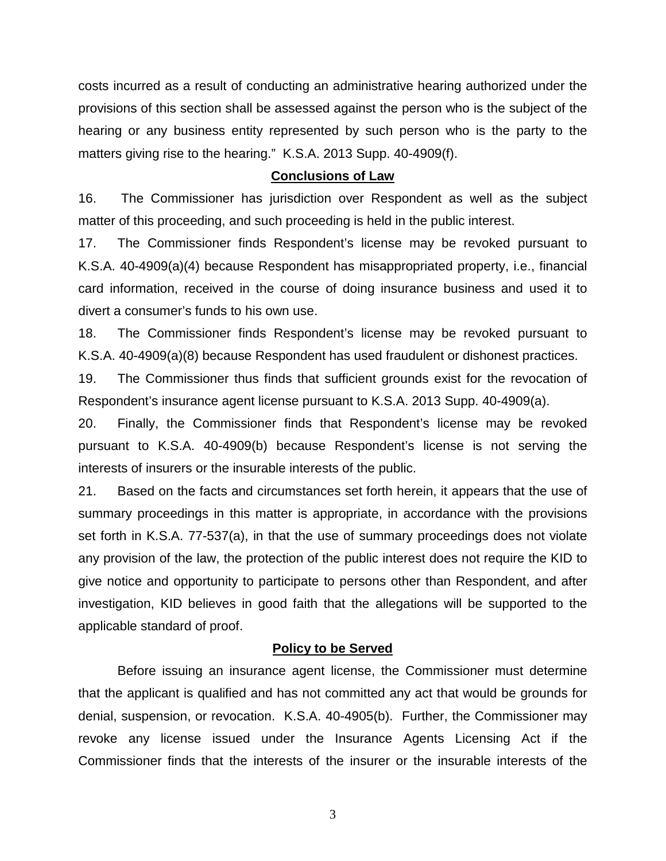costs incurred as a result of conducting an administrative hearing authorized under the provisions of this section shall be assessed against the person who is the subject of the hearing or any business entity represented by such person who is the party to the matters giving rise to the hearing." K.S.A. 2013 Supp. 40-4909(f).

#### **Conclusions of Law**

16. The Commissioner has jurisdiction over Respondent as well as the subject matter of this proceeding, and such proceeding is held in the public interest.

17. The Commissioner finds Respondent's license may be revoked pursuant to K.S.A. 40-4909(a)(4) because Respondent has misappropriated property, i.e., financial card information, received in the course of doing insurance business and used it to divert a consumer's funds to his own use.

18. The Commissioner finds Respondent's license may be revoked pursuant to K.S.A. 40-4909(a)(8) because Respondent has used fraudulent or dishonest practices.

19. The Commissioner thus finds that sufficient grounds exist for the revocation of Respondent's insurance agent license pursuant to K.S.A. 2013 Supp. 40-4909(a).

20. Finally, the Commissioner finds that Respondent's license may be revoked pursuant to K.S.A. 40-4909(b) because Respondent's license is not serving the interests of insurers or the insurable interests of the public.

21. Based on the facts and circumstances set forth herein, it appears that the use of summary proceedings in this matter is appropriate, in accordance with the provisions set forth in K.S.A. 77-537(a), in that the use of summary proceedings does not violate any provision of the law, the protection of the public interest does not require the KID to give notice and opportunity to participate to persons other than Respondent, and after investigation, KID believes in good faith that the allegations will be supported to the applicable standard of proof.

#### **Policy to be Served**

Before issuing an insurance agent license, the Commissioner must determine that the applicant is qualified and has not committed any act that would be grounds for denial, suspension, or revocation. K.S.A. 40-4905(b). Further, the Commissioner may revoke any license issued under the Insurance Agents Licensing Act if the Commissioner finds that the interests of the insurer or the insurable interests of the

3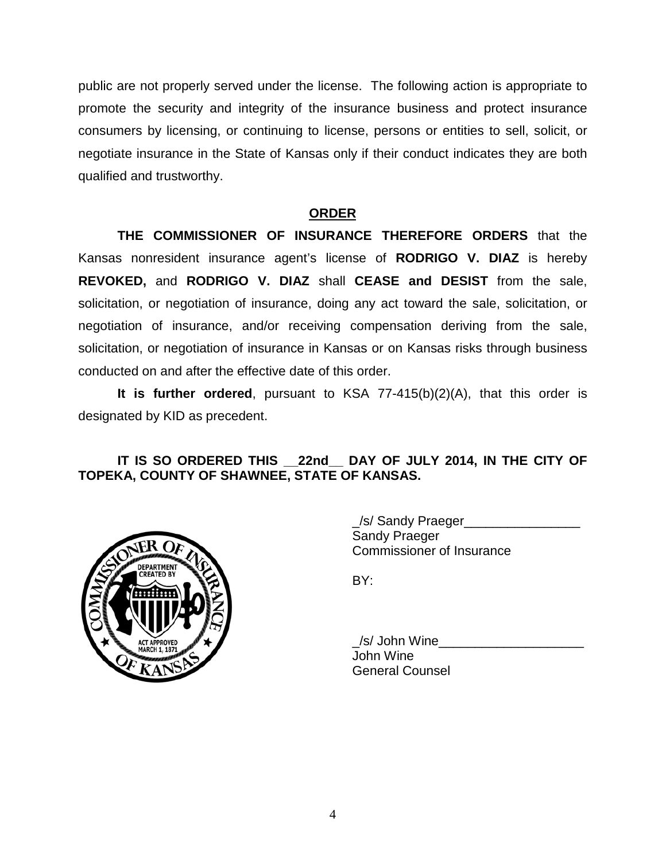public are not properly served under the license. The following action is appropriate to promote the security and integrity of the insurance business and protect insurance consumers by licensing, or continuing to license, persons or entities to sell, solicit, or negotiate insurance in the State of Kansas only if their conduct indicates they are both qualified and trustworthy.

# **ORDER**

**THE COMMISSIONER OF INSURANCE THEREFORE ORDERS** that the Kansas nonresident insurance agent's license of **RODRIGO V. DIAZ** is hereby **REVOKED,** and **RODRIGO V. DIAZ** shall **CEASE and DESIST** from the sale, solicitation, or negotiation of insurance, doing any act toward the sale, solicitation, or negotiation of insurance, and/or receiving compensation deriving from the sale, solicitation, or negotiation of insurance in Kansas or on Kansas risks through business conducted on and after the effective date of this order.

**It is further ordered**, pursuant to KSA 77-415(b)(2)(A), that this order is designated by KID as precedent.

# **IT IS SO ORDERED THIS \_\_22nd\_\_ DAY OF JULY 2014, IN THE CITY OF TOPEKA, COUNTY OF SHAWNEE, STATE OF KANSAS.**



/s/ Sandy Praeger Sandy Praeger Commissioner of Insurance

BY:

/s/ John Wine John Wine General Counsel